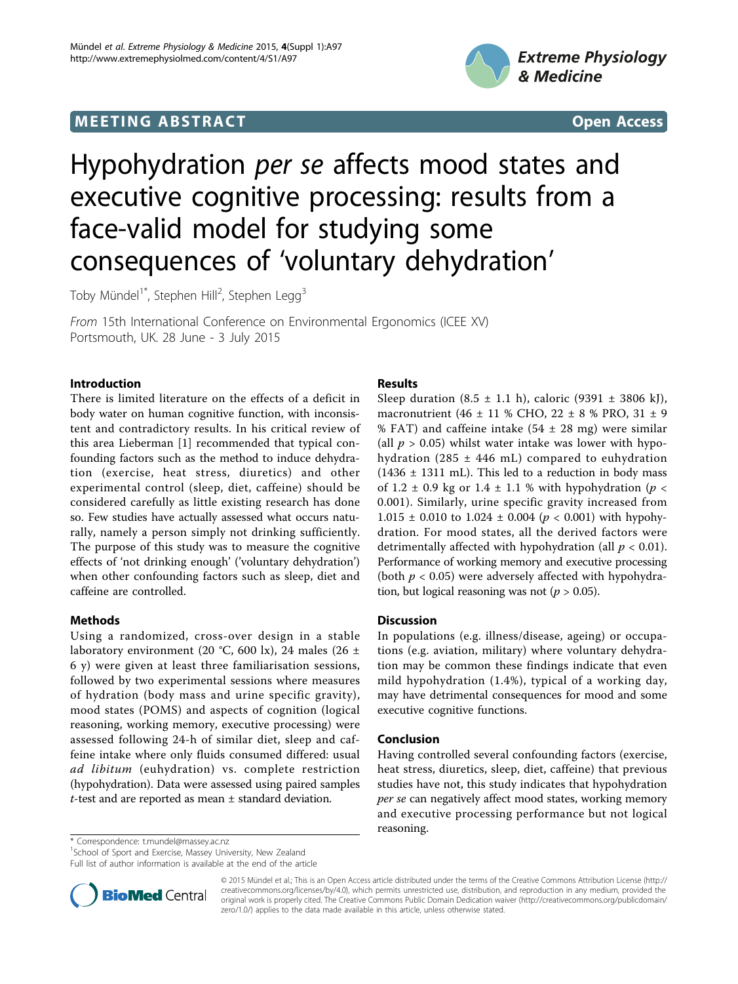## **MEETING ABSTRACT And SECONDITION** CONSUMING A STRACT AND SECONDITIONS Open Access



# Hypohydration per se affects mood states and executive cognitive processing: results from a face-valid model for studying some consequences of 'voluntary dehydration'

Toby Mündel $^{\text{1*}}$ , Stephen Hill $^{\text{2}}$ , Stephen Legg $^{\text{3}}$ 

From 15th International Conference on Environmental Ergonomics (ICEE XV) Portsmouth, UK. 28 June - 3 July 2015

### Introduction

There is limited literature on the effects of a deficit in body water on human cognitive function, with inconsistent and contradictory results. In his critical review of this area Lieberman [[1\]](#page-1-0) recommended that typical confounding factors such as the method to induce dehydration (exercise, heat stress, diuretics) and other experimental control (sleep, diet, caffeine) should be considered carefully as little existing research has done so. Few studies have actually assessed what occurs naturally, namely a person simply not drinking sufficiently. The purpose of this study was to measure the cognitive effects of 'not drinking enough' ('voluntary dehydration') when other confounding factors such as sleep, diet and caffeine are controlled.

## Methods

Using a randomized, cross-over design in a stable laboratory environment (20 °C, 600 lx), 24 males (26 ± 6 y) were given at least three familiarisation sessions, followed by two experimental sessions where measures of hydration (body mass and urine specific gravity), mood states (POMS) and aspects of cognition (logical reasoning, working memory, executive processing) were assessed following 24-h of similar diet, sleep and caffeine intake where only fluids consumed differed: usual ad libitum (euhydration) vs. complete restriction (hypohydration). Data were assessed using paired samples t-test and are reported as mean ± standard deviation.

### Results

Sleep duration  $(8.5 \pm 1.1 \text{ h})$ , caloric  $(9391 \pm 3806 \text{ kJ})$ , macronutrient (46 ± 11 % CHO, 22 ± 8 % PRO, 31 ± 9 % FAT) and caffeine intake  $(54 \pm 28 \text{ mg})$  were similar (all  $p > 0.05$ ) whilst water intake was lower with hypohydration (285  $\pm$  446 mL) compared to euhydration  $(1436 \pm 1311 \text{ mL})$ . This led to a reduction in body mass of 1.2  $\pm$  0.9 kg or 1.4  $\pm$  1.1 % with hypohydration (p < 0.001). Similarly, urine specific gravity increased from  $1.015 \pm 0.010$  to  $1.024 \pm 0.004$  ( $p < 0.001$ ) with hypohydration. For mood states, all the derived factors were detrimentally affected with hypohydration (all  $p < 0.01$ ). Performance of working memory and executive processing (both  $p < 0.05$ ) were adversely affected with hypohydration, but logical reasoning was not ( $p > 0.05$ ).

#### Discussion

In populations (e.g. illness/disease, ageing) or occupations (e.g. aviation, military) where voluntary dehydration may be common these findings indicate that even mild hypohydration (1.4%), typical of a working day, may have detrimental consequences for mood and some executive cognitive functions.

## Conclusion

Having controlled several confounding factors (exercise, heat stress, diuretics, sleep, diet, caffeine) that previous studies have not, this study indicates that hypohydration per se can negatively affect mood states, working memory and executive processing performance but not logical reasoning.

\* Correspondence: [t.mundel@massey.ac.nz](mailto:t.mundel@massey.ac.nz)

<sup>1</sup>School of Sport and Exercise, Massey University, New Zealand Full list of author information is available at the end of the article



© 2015 Mündel et al.; This is an Open Access article distributed under the terms of the Creative Commons Attribution License [\(http://](http://creativecommons.org/licenses/by/4.0) [creativecommons.org/licenses/by/4.0](http://creativecommons.org/licenses/by/4.0)), which permits unrestricted use, distribution, and reproduction in any medium, provided the original work is properly cited. The Creative Commons Public Domain Dedication waiver ([http://creativecommons.org/publicdomain/](http://creativecommons.org/publicdomain/zero/1.0/) [zero/1.0/](http://creativecommons.org/publicdomain/zero/1.0/)) applies to the data made available in this article, unless otherwise stated.